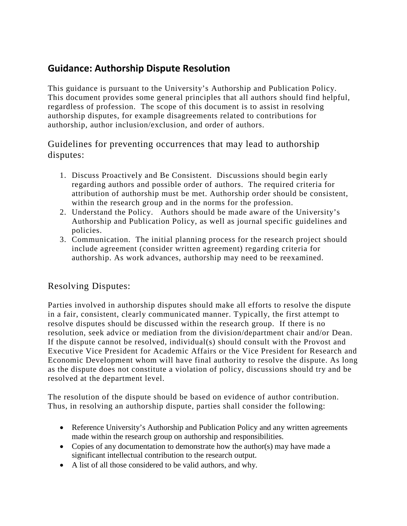## **Guidance: Authorship Dispute Resolution**

This guidance is pursuant to the University's Authorship and Publication Policy. This document provides some general principles that all authors should find helpful, regardless of profession. The scope of this document is to assist in resolving authorship disputes, for example disagreements related to contributions for authorship, author inclusion/exclusion, and order of authors.

Guidelines for preventing occurrences that may lead to authorship disputes:

- 1. Discuss Proactively and Be Consistent. Discussions should begin early regarding authors and possible order of authors. The required criteria for attribution of authorship must be met. Authorship order should be consistent, within the research group and in the norms for the profession.
- 2. Understand the Policy. Authors should be made aware of the University's Authorship and Publication Policy, as well as journal specific guidelines and policies.
- 3. Communication. The initial planning process for the research project should include agreement (consider written agreement) regarding criteria for authorship. As work advances, authorship may need to be reexamined.

## Resolving Disputes:

Parties involved in authorship disputes should make all efforts to resolve the dispute in a fair, consistent, clearly communicated manner. Typically, the first attempt to resolve disputes should be discussed within the research group. If there is no resolution, seek advice or mediation from the division/department chair and/or Dean. If the dispute cannot be resolved, individual(s) should consult with the Provost and Executive Vice President for Academic Affairs or the Vice President for Research and Economic Development whom will have final authority to resolve the dispute. As long as the dispute does not constitute a violation of policy, discussions should try and be resolved at the department level.

The resolution of the dispute should be based on evidence of author contribution. Thus, in resolving an authorship dispute, parties shall consider the following:

- Reference University's Authorship and Publication Policy and any written agreements made within the research group on authorship and responsibilities.
- Copies of any documentation to demonstrate how the author(s) may have made a significant intellectual contribution to the research output.
- A list of all those considered to be valid authors, and why.